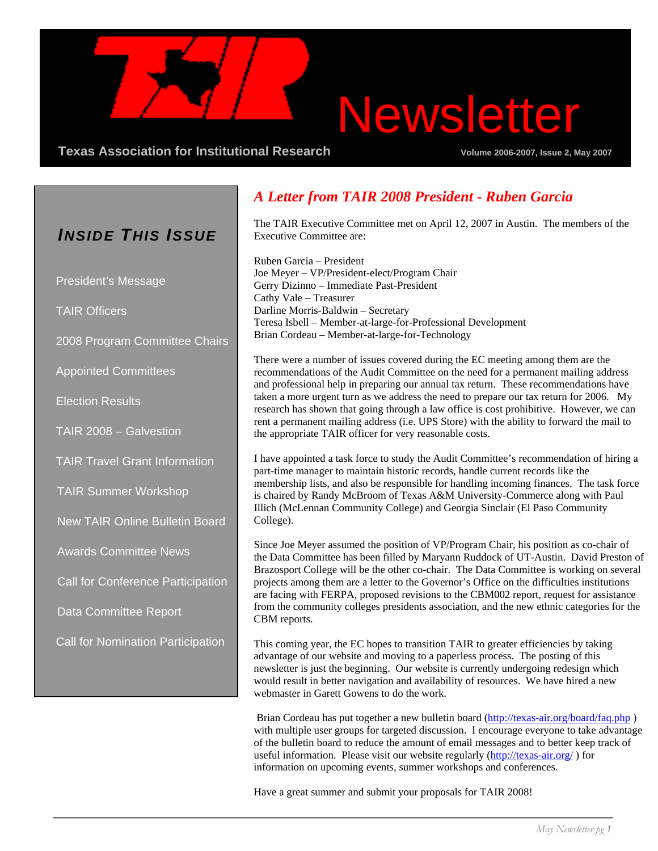# Newsletter

**Texas Association for Institutional Research Community Community Volume 2006-2007, Issue 2, May 2007** 

### *INSIDE THIS ISSUE*

President's Message

TAIR Officers

2008 Program Committee Chairs

Appointed Committees

Election Results

TAIR 2008 – Galvestion

TAIR Travel Grant Information

TAIR Summer Workshop

New TAIR Online Bulletin Board

Awards Committee News

Call for Conference Participation

Data Committee Report

Call for Nomination Participation

### *A Letter from TAIR 2008 President - Ruben Garcia*

The TAIR Executive Committee met on April 12, 2007 in Austin. The members of the Executive Committee are:

Ruben Garcia – President Joe Meyer – VP/President-elect/Program Chair Gerry Dizinno – Immediate Past-President Cathy Vale – Treasurer Darline Morris-Baldwin – Secretary Teresa Isbell – Member-at-large-for-Professional Development Brian Cordeau – Member-at-large-for-Technology

There were a number of issues covered during the EC meeting among them are the recommendations of the Audit Committee on the need for a permanent mailing address and professional help in preparing our annual tax return. These recommendations have taken a more urgent turn as we address the need to prepare our tax return for 2006. My research has shown that going through a law office is cost prohibitive. However, we can rent a permanent mailing address (i.e. UPS Store) with the ability to forward the mail to the appropriate TAIR officer for very reasonable costs.

I have appointed a task force to study the Audit Committee's recommendation of hiring a part-time manager to maintain historic records, handle current records like the membership lists, and also be responsible for handling incoming finances. The task force is chaired by Randy McBroom of Texas A&M University-Commerce along with Paul Illich (McLennan Community College) and Georgia Sinclair (El Paso Community College).

Since Joe Meyer assumed the position of VP/Program Chair, his position as co-chair of the Data Committee has been filled by Maryann Ruddock of UT-Austin. David Preston of Brazosport College will be the other co-chair. The Data Committee is working on several projects among them are a letter to the Governor's Office on the difficulties institutions are facing with FERPA, proposed revisions to the CBM002 report, request for assistance from the community colleges presidents association, and the new ethnic categories for the CBM reports.

This coming year, the EC hopes to transition TAIR to greater efficiencies by taking advantage of our website and moving to a paperless process. The posting of this newsletter is just the beginning. Our website is currently undergoing redesign which would result in better navigation and availability of resources. We have hired a new webmaster in Garett Gowens to do the work.

Brian Cordeau has put together a new bulletin board (http://texas-air.org/board/faq.php) with multiple user groups for targeted discussion. I encourage everyone to take advantage of the bulletin board to reduce the amount of email messages and to better keep track of useful information. Please visit our website regularly (http://texas-air.org/) for information on upcoming events, summer workshops and conferences.

Have a great summer and submit your proposals for TAIR 2008!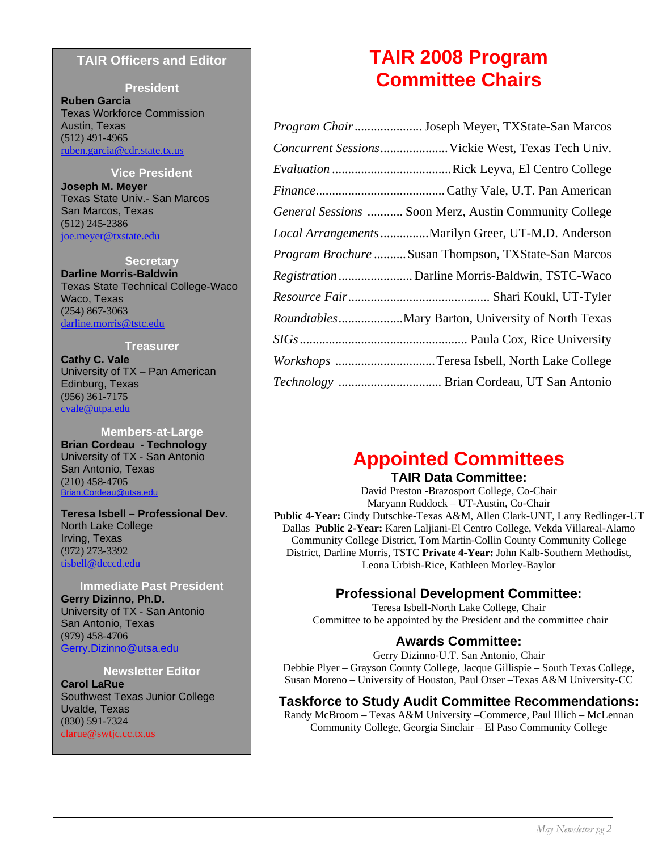#### **TAIR Officers and Editor**

#### **President**

**Ruben Garcia** Texas Workforce Commission Austin, Texas (512) 491-4965 ruben.garcia@cdr.state.tx.us

#### **Vice President**

**Joseph M. Meyer** Texas State Univ.- San Marcos San Marcos, Texas (512) 245-2386 joe.meyer@txstate.edu

#### **Secretary**

**Darline Morris-Baldwin** Texas State Technical College-Waco Waco, Texas (254) 867-3063 darline.morris@tstc.edu

#### **Treasurer**

**Cathy C. Vale**  University of TX – Pan American Edinburg, Texas (956) 361-7175 cvale@utpa.edu

#### **Members-at-Large**

**Brian Cordeau - Technology**  University of TX - San Antonio San Antonio, Texas (210) 458-4705 Brian.Cordeau@utsa.edu

**Teresa Isbell – Professional Dev.**  North Lake College Irving, Texas (972) 273-3392 tisbell@dcccd.edu

#### **Immediate Past President**

**Gerry Dizinno, Ph.D.**  University of TX - San Antonio San Antonio, Texas (979) 458-4706 Gerry.Dizinno@utsa.edu

#### **Newsletter Editor**

**Carol LaRue**  Southwest Texas Junior College Uvalde, Texas (830) 591-7324 clarue@swtjc.cc.tx.us

### **TAIR 2008 Program Committee Chairs**

| Program Chair Joseph Meyer, TXState-San Marcos              |
|-------------------------------------------------------------|
| Concurrent Sessions Vickie West, Texas Tech Univ.           |
|                                                             |
|                                                             |
| General Sessions  Soon Merz, Austin Community College       |
| Local Arrangements Marilyn Greer, UT-M.D. Anderson          |
| <i>Program Brochure </i> Susan Thompson, TXState-San Marcos |
|                                                             |
|                                                             |
|                                                             |
|                                                             |
| Workshops Teresa Isbell, North Lake College                 |
| Technology  Brian Cordeau, UT San Antonio                   |

### **Appointed Committees**

#### **TAIR Data Committee:**

David Preston -Brazosport College, Co-Chair Maryann Ruddock – UT-Austin, Co-Chair **Public 4-Year:** Cindy Dutschke-Texas A&M, Allen Clark-UNT, Larry Redlinger-UT Dallas **Public 2-Year:** Karen Laljiani-El Centro College, Vekda Villareal-Alamo Community College District, Tom Martin-Collin County Community College District, Darline Morris, TSTC **Private 4-Year:** John Kalb-Southern Methodist, Leona Urbish-Rice, Kathleen Morley-Baylor

### **Professional Development Committee:**

Teresa Isbell-North Lake College, Chair Committee to be appointed by the President and the committee chair

### **Awards Committee:**

Gerry Dizinno-U.T. San Antonio, Chair Debbie Plyer – Grayson County College, Jacque Gillispie – South Texas College, Susan Moreno – University of Houston, Paul Orser –Texas A&M University-CC

#### **Taskforce to Study Audit Committee Recommendations:**

Randy McBroom – Texas A&M University –Commerce, Paul Illich – McLennan Community College, Georgia Sinclair – El Paso Community College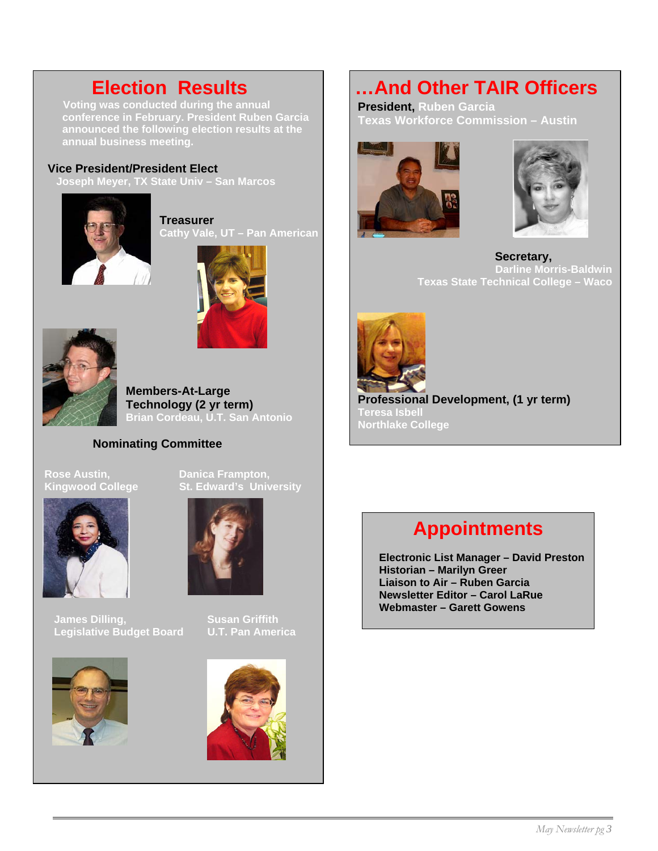**Voting was conducted during the annual conference in February. President Ruben Garcia announced the following election results at the annual business meeting.** 

#### **Vice President/President Elect**

 **Joseph Meyer, TX State Univ – San Marcos** 



**Treasurer Cathy Vale, UT – Pan American** 





**Members-At-Large Technology (2 yr term) Brian Cordeau, U.T. San Antonio** 

#### **Nominating Committee**

**Rose Austin, New Banica Frampton,<br>
Kingwood College St. Edward's Univ** 



**James Dilling, Susan Griffith Legislative Budget Board COVER America** 





**St. Edward's University** 



### **Election Results …And Other TAIR Officers**

**President, Ruben Garcia Texas Workforce Commission – Austin** 





 **Secretary, Darline Morris-Baldwin Texas State Technical College – Waco** 



**Professional Development, (1 yr term) Teresa Isbell Northlake College** 

### **Appointments**

 **Electronic List Manager – David Preston Historian – Marilyn Greer Liaison to Air – Ruben Garcia Newsletter Editor – Carol LaRue Webmaster – Garett Gowens**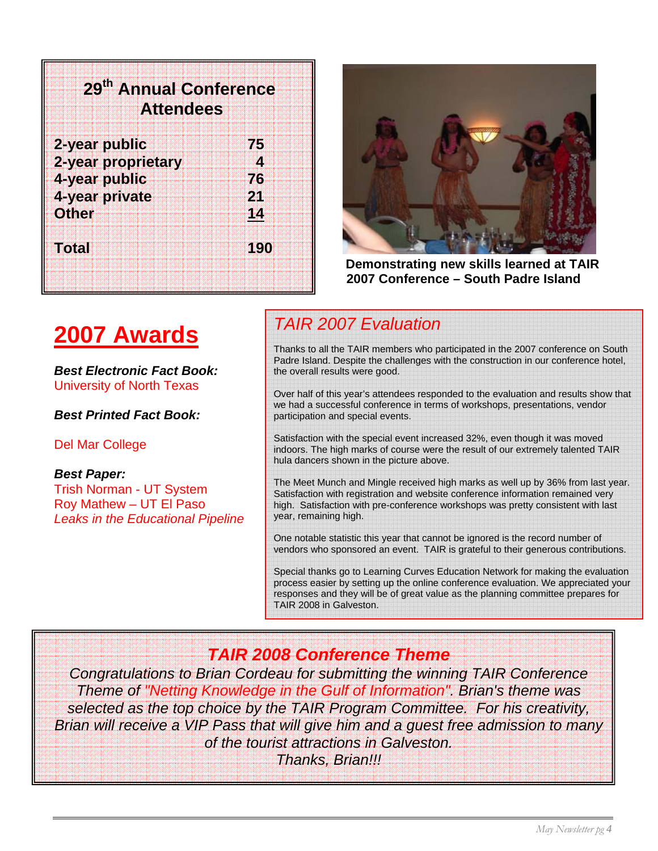| 29 <sup>th</sup> Annual Conference<br><b>Attendees</b> |                                                                                  |
|--------------------------------------------------------|----------------------------------------------------------------------------------|
| 2-year public<br>4-year public<br><b>Other</b>         | 75<br>2-year proprietary<br>$\boldsymbol{A}$<br>76<br>4-year private<br>21<br>14 |

**Total 190** 



 **Demonstrating new skills learned at TAIR 2007 Conference – South Padre Island** 

### **2007 Awards**

*Best Electronic Fact Book:* University of North Texas

*Best Printed Fact Book:* 

Del Mar College

*Best Paper:* 

Trish Norman - UT System Roy Mathew – UT El Paso *Leaks in the Educational Pipeline* 

### *TAIR 2007 Evaluation*

Thanks to all the TAIR members who participated in the 2007 conference on South Padre Island. Despite the challenges with the construction in our conference hotel, the overall results were good.

Over half of this year's attendees responded to the evaluation and results show that we had a successful conference in terms of workshops, presentations, vendor participation and special events.

Satisfaction with the special event increased 32%, even though it was moved indoors. The high marks of course were the result of our extremely talented TAIR hula dancers shown in the picture above.

The Meet Munch and Mingle received high marks as well up by 36% from last year. Satisfaction with registration and website conference information remained very high. Satisfaction with pre-conference workshops was pretty consistent with last year, remaining high.

One notable statistic this year that cannot be ignored is the record number of vendors who sponsored an event. TAIR is grateful to their generous contributions.

Special thanks go to Learning Curves Education Network for making the evaluation process easier by setting up the online conference evaluation. We appreciated your responses and they will be of great value as the planning committee prepares for TAIR 2008 in Galveston.

### *TAIR 2008 Conference Theme*

*Congratulations to Brian Cordeau for submitting the winning TAIR Conference Theme of "Netting Knowledge in the Gulf of Information". Brian's theme was selected as the top choice by the TAIR Program Committee. For his creativity, Brian will receive a VIP Pass that will give him and a guest free admission to many of the tourist attractions in Galveston.* 

*Thanks, Brian!!!*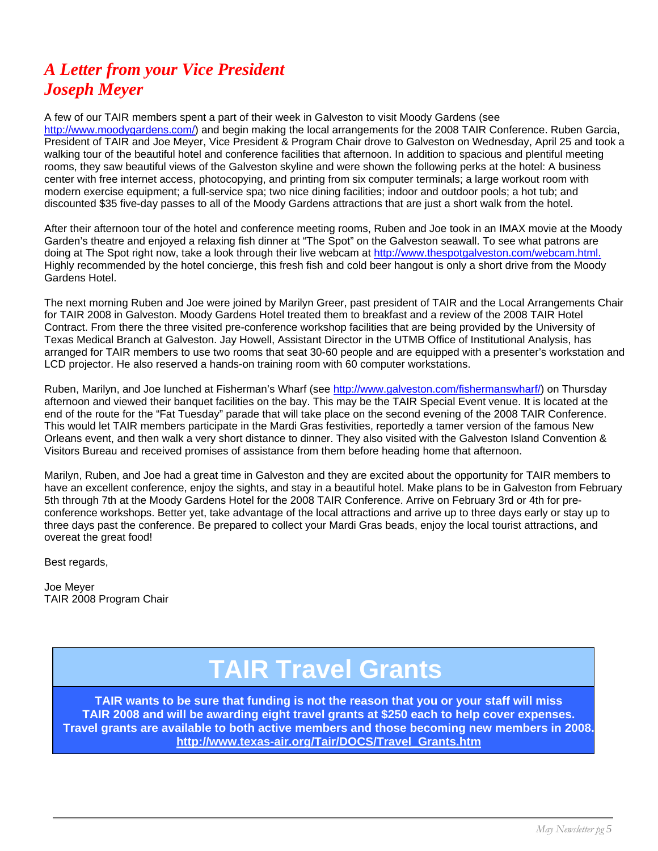### *A Letter from your Vice President Joseph Meyer*

A few of our TAIR members spent a part of their week in Galveston to visit Moody Gardens (see http://www.moodygardens.com/) and begin making the local arrangements for the 2008 TAIR Conference. Ruben Garcia, President of TAIR and Joe Meyer, Vice President & Program Chair drove to Galveston on Wednesday, April 25 and took a walking tour of the beautiful hotel and conference facilities that afternoon. In addition to spacious and plentiful meeting rooms, they saw beautiful views of the Galveston skyline and were shown the following perks at the hotel: A business center with free internet access, photocopying, and printing from six computer terminals; a large workout room with modern exercise equipment; a full-service spa; two nice dining facilities; indoor and outdoor pools; a hot tub; and discounted \$35 five-day passes to all of the Moody Gardens attractions that are just a short walk from the hotel.

After their afternoon tour of the hotel and conference meeting rooms, Ruben and Joe took in an IMAX movie at the Moody Garden's theatre and enjoyed a relaxing fish dinner at "The Spot" on the Galveston seawall. To see what patrons are doing at The Spot right now, take a look through their live webcam at http://www.thespotgalveston.com/webcam.html. Highly recommended by the hotel concierge, this fresh fish and cold beer hangout is only a short drive from the Moody Gardens Hotel.

The next morning Ruben and Joe were joined by Marilyn Greer, past president of TAIR and the Local Arrangemen<br>for TAIR 2008 in Galveston. Moody Gardens Hotel treated them to breakfast and a review of the 2008 TAIR Hotel The next morning Ruben and Joe were joined by Marilyn Greer, past president of TAIR and the Local Arrangements Chair Contract. From there the three visited pre-conference workshop facilities that are being provided by the University of Texas Medical Branch at Galveston. Jay Howell, Assistant Director in the UTMB Office of Institutional Analysis, has arranged for TAIR members to use two rooms that seat 30-60 people and are equipped with a presenter's workstation and LCD projector. He also reserved a hands-on training room with 60 computer workstations.

Ruben, Marilyn, and Joe lunched at Fisherman's Wharf (see http://www.galveston.com/fishermanswharf/) on Thursday afternoon and viewed their banquet facilities on the bay. This may be the TAIR Special Event venue. It is located at the end of the route for the "Fat Tuesday" parade that will take place on the second evening of the 2008 TAIR Conference. This would let TAIR members participate in the Mardi Gras festivities, reportedly a tamer version of the famous New Orleans event, and then walk a very short distance to dinner. They also visited with the Galveston Island Convention & Visitors Bureau and received promises of assistance from them before heading home that afternoon.

Marilyn, Ruben, and Joe had a great time in Galveston and they are excited about the opportunity for TAIR members to have an excellent conference, enjoy the sights, and stay in a beautiful hotel. Make plans to be in Galveston from February 5th through 7th at the Moody Gardens Hotel for the 2008 TAIR Conference. Arrive on February 3rd or 4th for preconference workshops. Better yet, take advantage of the local attractions and arrive up to three days early or stay up to three days past the conference. Be prepared to collect your Mardi Gras beads, enjoy the local tourist attractions, and overeat the great food!

Best regards,

Joe Meyer TAIR 2008 Program Chair

## **TAIR Travel Grants**

**TAIR wants to be sure that funding is not the reason that you or your staff will miss TAIR 2008 and will be awarding eight travel grants at \$250 each to help cover expenses. Travel grants are available to both active members and those becoming new members in 2008. http://www.texas-air.org/Tair/DOCS/Travel\_Grants.htm**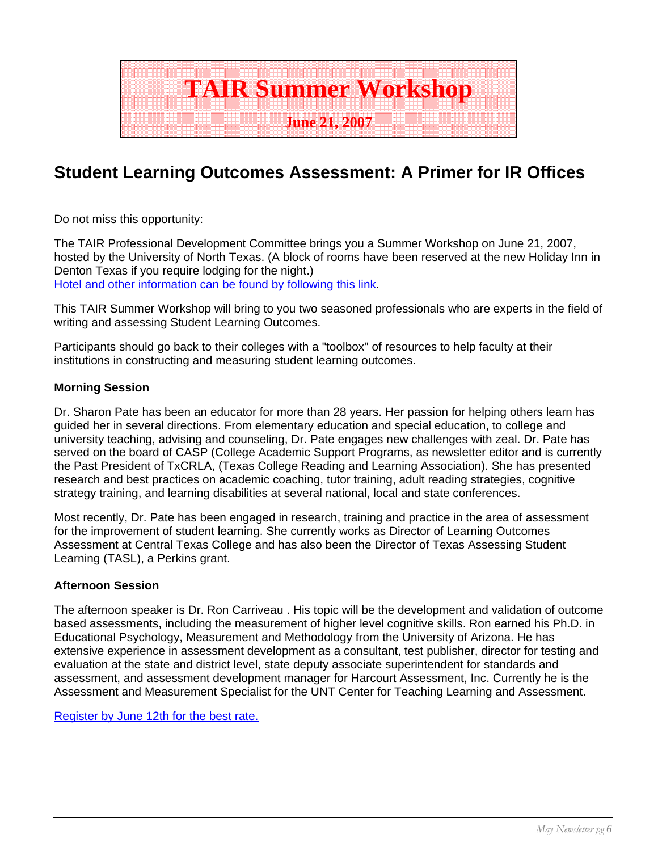

### **Student Learning Outcomes Assessment: A Primer for IR Offices**

Do not miss this opportunity:

The TAIR Professional Development Committee brings you a Summer Workshop on June 21, 2007, hosted by the University of North Texas. (A block of rooms have been reserved at the new Holiday Inn in Denton Texas if you require lodging for the night.) Hotel and other information can be found by following this link.

This TAIR Summer Workshop will bring to you two seasoned professionals who are experts in the field of writing and assessing Student Learning Outcomes.

Participants should go back to their colleges with a "toolbox" of resources to help faculty at their institutions in constructing and measuring student learning outcomes.

#### **Morning Session**

Dr. Sharon Pate has been an educator for more than 28 years. Her passion for helping others learn has guided her in several directions. From elementary education and special education, to college and university teaching, advising and counseling, Dr. Pate engages new challenges with zeal. Dr. Pate has served on the board of CASP (College Academic Support Programs, as newsletter editor and is currently the Past President of TxCRLA, (Texas College Reading and Learning Association). She has presented research and best practices on academic coaching, tutor training, adult reading strategies, cognitive strategy training, and learning disabilities at several national, local and state conferences.

Most recently, Dr. Pate has been engaged in research, training and practice in the area of assessment for the improvement of student learning. She currently works as Director of Learning Outcomes Assessment at Central Texas College and has also been the Director of Texas Assessing Student Learning (TASL), a Perkins grant.

#### **Afternoon Session**

The afternoon speaker is Dr. Ron Carriveau . His topic will be the development and validation of outcome based assessments, including the measurement of higher level cognitive skills. Ron earned his Ph.D. in Educational Psychology, Measurement and Methodology from the University of Arizona. He has extensive experience in assessment development as a consultant, test publisher, director for testing and evaluation at the state and district level, state deputy associate superintendent for standards and assessment, and assessment development manager for Harcourt Assessment, Inc. Currently he is the Assessment and Measurement Specialist for the UNT Center for Teaching Learning and Assessment.

Register by June 12th for the best rate.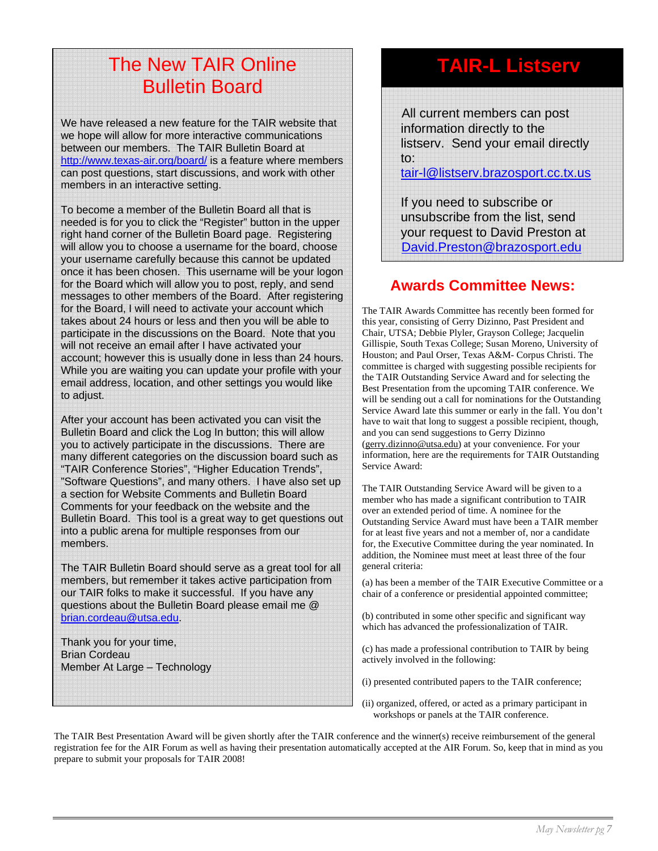### The New TAIR Online Bulletin Board

We have released a new feature for the TAIR website that we hope will allow for more interactive communications between our members. The TAIR Bulletin Board at http://www.texas-air.org/board/ is a feature where members can post questions, start discussions, and work with other members in an interactive setting.

To become a member of the Bulletin Board all that is needed is for you to click the "Register" button in the upper right hand corner of the Bulletin Board page. Registering will allow you to choose a username for the board, choose your username carefully because this cannot be updated once it has been chosen. This username will be your logon for the Board which will allow you to post, reply, and send messages to other members of the Board. After registering for the Board, I will need to activate your account which takes about 24 hours or less and then you will be able to participate in the discussions on the Board. Note that you will not receive an email after I have activated your account; however this is usually done in less than 24 hours. While you are waiting you can update your profile with your email address, location, and other settings you would like to adjust.

After your account has been activated you can visit the Bulletin Board and click the Log In button; this will allow you to actively participate in the discussions. There are many different categories on the discussion board such as "TAIR Conference Stories", "Higher Education Trends", "Software Questions", and many others. I have also set up a section for Website Comments and Bulletin Board Comments for your feedback on the website and the Bulletin Board. This tool is a great way to get questions out into a public arena for multiple responses from our members.

The TAIR Bulletin Board should serve as a great tool for all members, but remember it takes active participation from our TAIR folks to make it successful. If you have any questions about the Bulletin Board please email me @ brian.cordeau@utsa.edu.

Thank you for your time, Brian Cordeau Member At Large – Technology

### **TAIR-L Listserv**

 All current members can post information directly to the listserv. Send your email directly to:

tair-l@listserv.brazosport.cc.tx.us

 If you need to subscribe or unsubscribe from the list, send your request to David Preston at David.Preston@brazosport.edu

### **Awards Committee News:**

The TAIR Awards Committee has recently been formed for this year, consisting of Gerry Dizinno, Past President and Chair, UTSA; Debbie Plyler, Grayson College; Jacquelin Gillispie, South Texas College; Susan Moreno, University of Houston; and Paul Orser, Texas A&M- Corpus Christi. The committee is charged with suggesting possible recipients for the TAIR Outstanding Service Award and for selecting the Best Presentation from the upcoming TAIR conference. We will be sending out a call for nominations for the Outstanding Service Award late this summer or early in the fall. You don't have to wait that long to suggest a possible recipient, though, and you can send suggestions to Gerry Dizinno (gerry.dizinno@utsa.edu) at your convenience. For your information, here are the requirements for TAIR Outstanding Service Award:

The TAIR Outstanding Service Award will be given to a member who has made a significant contribution to TAIR over an extended period of time. A nominee for the Outstanding Service Award must have been a TAIR member for at least five years and not a member of, nor a candidate for, the Executive Committee during the year nominated. In addition, the Nominee must meet at least three of the four general criteria:

(a) has been a member of the TAIR Executive Committee or a chair of a conference or presidential appointed committee;

(b) contributed in some other specific and significant way which has advanced the professionalization of TAIR.

(c) has made a professional contribution to TAIR by being actively involved in the following:

(i) presented contributed papers to the TAIR conference;

(ii) organized, offered, or acted as a primary participant in workshops or panels at the TAIR conference.

The TAIR Best Presentation Award will be given shortly after the TAIR conference and the winner(s) receive reimbursement of the general registration fee for the AIR Forum as well as having their presentation automatically accepted at the AIR Forum. So, keep that in mind as you prepare to submit your proposals for TAIR 2008!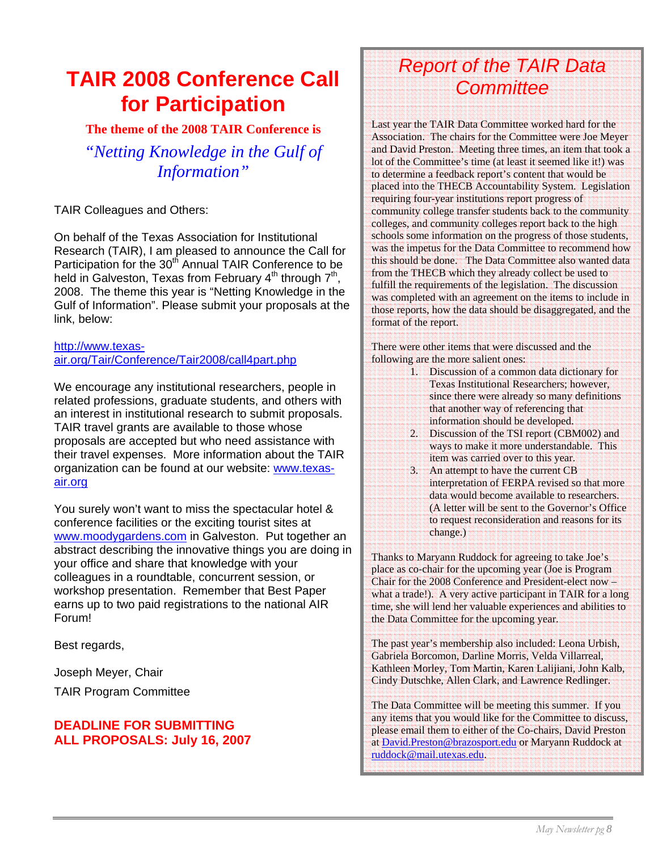### **TAIR 2008 Conference Call for Participation**

**The theme of the 2008 TAIR Conference is** 

*"Netting Knowledge in the Gulf of Information"* 

TAIR Colleagues and Others:

On behalf of the Texas Association for Institutional Research (TAIR), I am pleased to announce the Call for Participation for the 30<sup>th</sup> Annual TAIR Conference to be held in Galveston, Texas from February  $4<sup>th</sup>$  through  $7<sup>th</sup>$ , 2008. The theme this year is "Netting Knowledge in the Gulf of Information". Please submit your proposals at the link, below:

#### http://www.texasair.org/Tair/Conference/Tair2008/call4part.php

We encourage any institutional researchers, people in related professions, graduate students, and others with an interest in institutional research to submit proposals. TAIR travel grants are available to those whose proposals are accepted but who need assistance with their travel expenses. More information about the TAIR organization can be found at our website: www.texasair.org

You surely won't want to miss the spectacular hotel & conference facilities or the exciting tourist sites at www.moodygardens.com in Galveston. Put together an abstract describing the innovative things you are doing in your office and share that knowledge with your colleagues in a roundtable, concurrent session, or workshop presentation. Remember that Best Paper earns up to two paid registrations to the national AIR Forum!

Best regards,

Joseph Meyer, Chair

TAIR Program Committee

#### **DEADLINE FOR SUBMITTING ALL PROPOSALS: July 16, 2007**

### *Report of the TAIR Data Committee*

Last year the TAIR Data Committee worked hard for the Association. The chairs for the Committee were Joe Meyer and David Preston. Meeting three times, an item that took a lot of the Committee's time (at least it seemed like it!) was to determine a feedback report's content that would be placed into the THECB Accountability System. Legislation requiring four-year institutions report progress of community college transfer students back to the community colleges, and community colleges report back to the high schools some information on the progress of those students, was the impetus for the Data Committee to recommend how this should be done. The Data Committee also wanted data from the THECB which they already collect be used to fulfill the requirements of the legislation. The discussion was completed with an agreement on the items to include in those reports, how the data should be disaggregated, and the format of the report.

There were other items that were discussed and the following are the more salient ones:

- 1. Discussion of a common data dictionary for Texas Institutional Researchers; however, since there were already so many definitions that another way of referencing that information should be developed.
- 2. Discussion of the TSI report (CBM002) and ways to make it more understandable. This item was carried over to this year.
- 3. An attempt to have the current CB interpretation of FERPA revised so that more data would become available to researchers. (A letter will be sent to the Governor's Office to request reconsideration and reasons for its change.)

Thanks to Maryann Ruddock for agreeing to take Joe's place as co-chair for the upcoming year (Joe is Program Chair for the 2008 Conference and President-elect now – what a trade!). A very active participant in TAIR for a long time, she will lend her valuable experiences and abilities to the Data Committee for the upcoming year.

The past year's membership also included: Leona Urbish, Gabriela Borcomon, Darline Morris, Velda Villarreal, Kathleen Morley, Tom Martin, Karen Lalijiani, John Kalb, Cindy Dutschke, Allen Clark, and Lawrence Redlinger.

The Data Committee will be meeting this summer. If you any items that you would like for the Committee to discuss, please email them to either of the Co-chairs, David Preston at David.Preston@brazosport.edu or Maryann Ruddock at ruddock@mail.utexas.edu.